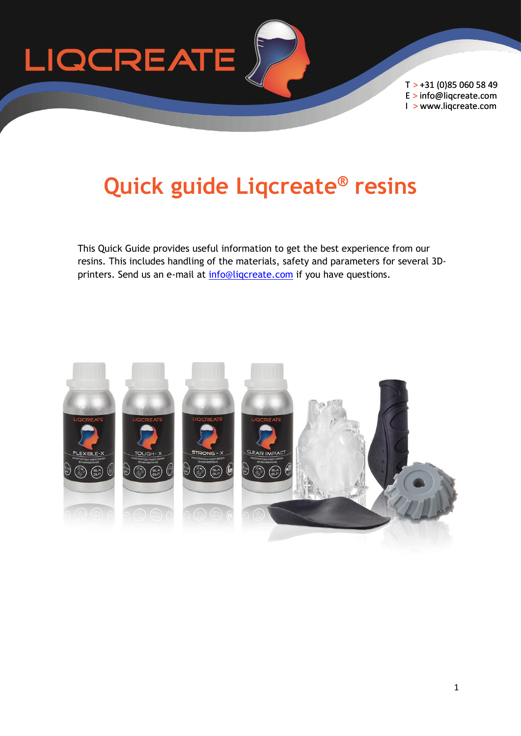

T > +31 (0)85 060 58 49 E > info@liqcreate.com I > www.liqcreate.com

# **Quick guide Liqcreate® resins**

This Quick Guide provides useful information to get the best experience from our resins. This includes handling of the materials, safety and parameters for several 3Dprinters. Send us an e-mail at [info@liqcreate.com](https://www.liqcreate.com/supportarticles/how-to-support-parts-printed-in-liqcreate-resin/) if you have questions.

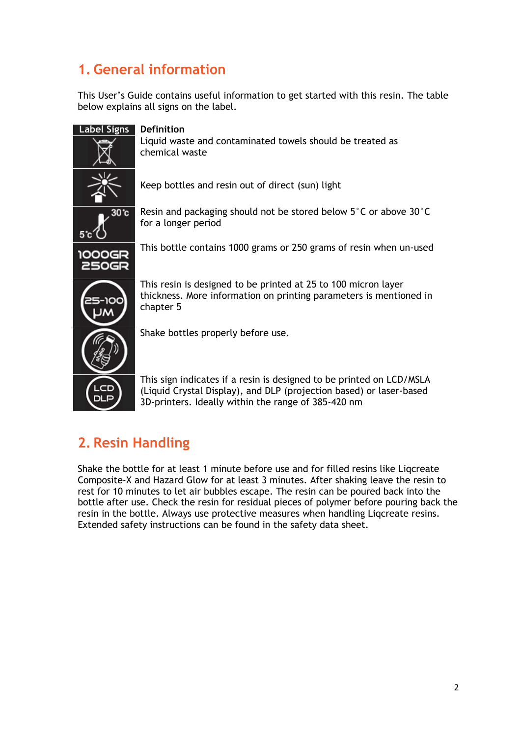# **1. General information**

This User's Guide contains useful information to get started with this resin. The table below explains all signs on the label.

| <b>Label Signs</b>     | <b>Definition</b>                                                                                                                                                                                  |
|------------------------|----------------------------------------------------------------------------------------------------------------------------------------------------------------------------------------------------|
|                        | Liquid waste and contaminated towels should be treated as<br>chemical waste                                                                                                                        |
|                        | Keep bottles and resin out of direct (sun) light                                                                                                                                                   |
| 30 c<br>5°c            | Resin and packaging should not be stored below $5^{\circ}$ C or above 30 $^{\circ}$ C<br>for a longer period                                                                                       |
| 1000GR<br><b>250GR</b> | This bottle contains 1000 grams or 250 grams of resin when un-used                                                                                                                                 |
| סמו                    | This resin is designed to be printed at 25 to 100 micron layer<br>thickness. More information on printing parameters is mentioned in<br>chapter 5                                                  |
|                        | Shake bottles properly before use.                                                                                                                                                                 |
| ᄕᇢ<br>DLP              | This sign indicates if a resin is designed to be printed on LCD/MSLA<br>(Liquid Crystal Display), and DLP (projection based) or laser-based<br>3D-printers. Ideally within the range of 385-420 nm |

# **2. Resin Handling**

Shake the bottle for at least 1 minute before use and for filled resins like Liqcreate Composite-X and Hazard Glow for at least 3 minutes. After shaking leave the resin to rest for 10 minutes to let air bubbles escape. The resin can be poured back into the bottle after use. Check the resin for residual pieces of polymer before pouring back the resin in the bottle. Always use protective measures when handling Liqcreate resins. Extended safety instructions can be found in the safety data sheet.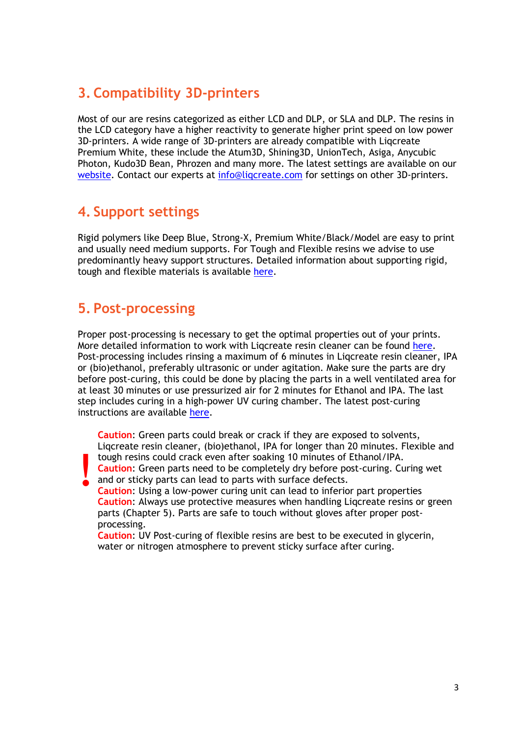## **3. Compatibility 3D-printers**

Most of our are resins categorized as either LCD and DLP, or SLA and DLP. The resins in the LCD category have a higher reactivity to generate higher print speed on low power 3D-printers. A wide range of 3D-printers are already compatible with Liqcreate Premium White, these include the Atum3D, Shining3D, UnionTech, Asiga, Anycubic Photon, Kudo3D Bean, Phrozen and many more. The latest settings are available on our [website.](https://www.liqcreate.com/supportarticles/3d-printers-are-compatible-with-liqcreate-resins/) Contact our experts at [info@liqcreate.com](https://www.liqcreate.com/supportarticles/how-to-post-process-sla-dlp-lcd-printed-objects/) for settings on other 3D-printers.

### **4. Support settings**

Rigid polymers like Deep Blue, Strong-X, Premium White/Black/Model are easy to print and usually need medium supports. For Tough and Flexible resins we advise to use predominantly heavy support structures. Detailed information about supporting rigid, tough and flexible materials is available [here.](https://www.liqcreate.com/supportarticles/how-to-support-parts-printed-in-liqcreate-resin/)

### **5. Post-processing**

Proper post-processing is necessary to get the optimal properties out of your prints. More detailed information to work with Ligcreate resin cleaner can be found [here.](https://www.liqcreate.com/liqcreate-resin-cleaner/) Post-processing includes rinsing a maximum of 6 minutes in Liqcreate resin cleaner, IPA or (bio)ethanol, preferably ultrasonic or under agitation. Make sure the parts are dry before post-curing, this could be done by placing the parts in a well ventilated area for at least 30 minutes or use pressurized air for 2 minutes for Ethanol and IPA. The last step includes curing in a high-power UV curing chamber. The latest post-curing instructions are available [here.](https://www.liqcreate.com/supportarticles/post-curing-3d-print-liqcreate-resin/)

**! Caution**: Green parts could break or crack if they are exposed to solvents, Liqcreate resin cleaner, (bio)ethanol, IPA for longer than 20 minutes. Flexible and tough resins could crack even after soaking 10 minutes of Ethanol/IPA. **Caution**: Green parts need to be completely dry before post-curing. Curing wet and or sticky parts can lead to parts with surface defects.

**Caution**: Using a low-power curing unit can lead to inferior part properties **Caution**: Always use protective measures when handling Liqcreate resins or green parts (Chapter 5). Parts are safe to touch without gloves after proper postprocessing.

**Caution**: UV Post-curing of flexible resins are best to be executed in glycerin, water or nitrogen atmosphere to prevent sticky surface after curing.